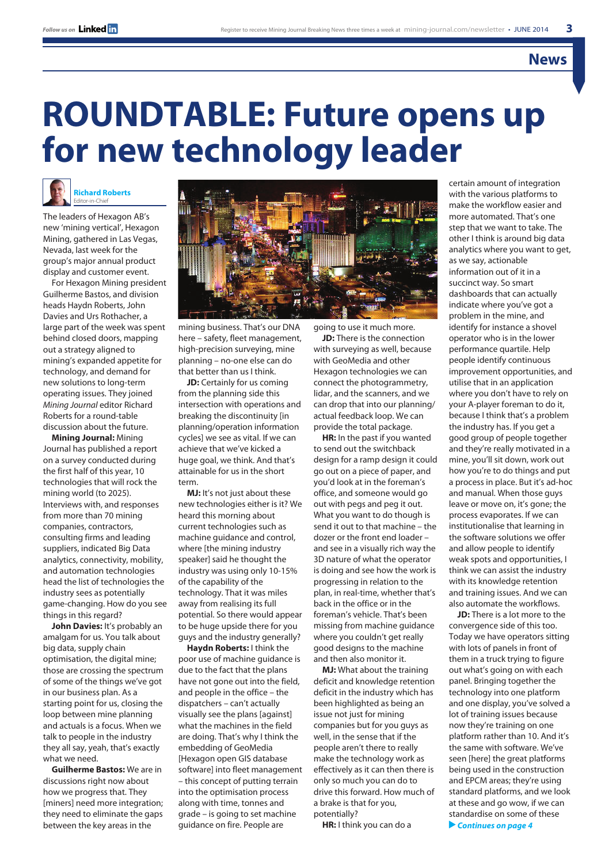### **News**

# **ROUNDTABLE: Future opens up for new technology leader**



The leaders of Hexagon AB's new 'mining vertical', Hexagon Mining, gathered in Las Vegas, Nevada, last week for the group's major annual product display and customer event.

For Hexagon Mining president Guilherme Bastos, and division heads Haydn Roberts, John Davies and Urs Rothacher, a large part of the week was spent behind closed doors, mapping out a strategy aligned to mining's expanded appetite for technology, and demand for new solutions to long-term operating issues. They joined *Mining Journal* editor Richard Roberts for a round-table discussion about the future.

**Mining Journal:** Mining Journal has published a report on a survey conducted during the first half of this year, 10 technologies that will rock the mining world (to 2025). Interviews with, and responses from more than 70 mining companies, contractors, consulting firms and leading suppliers, indicated Big Data analytics, connectivity, mobility, and automation technologies head the list of technologies the industry sees as potentially game-changing. How do you see things in this regard?

**John Davies:** It's probably an amalgam for us. You talk about big data, supply chain optimisation, the digital mine; those are crossing the spectrum of some of the things we've got in our business plan. As a starting point for us, closing the loop between mine planning and actuals is a focus. When we talk to people in the industry they all say, yeah, that's exactly what we need.

**Guilherme Bastos:** We are in discussions right now about how we progress that. They [miners] need more integration; they need to eliminate the gaps between the key areas in the



mining business. That's our DNA here – safety, fleet management, high-precision surveying, mine planning – no-one else can do that better than us I think.

**JD:** Certainly for us coming from the planning side this intersection with operations and breaking the discontinuity [in planning/operation information cycles] we see as vital. If we can achieve that we've kicked a huge goal, we think. And that's attainable for us in the short term.

**MJ:** It's not just about these new technologies either is it? We heard this morning about current technologies such as machine guidance and control, where [the mining industry speaker] said he thought the industry was using only 10-15% of the capability of the technology. That it was miles away from realising its full potential. So there would appear to be huge upside there for you guys and the industry generally?

**Haydn Roberts:** I think the poor use of machine guidance is due to the fact that the plans have not gone out into the field, and people in the office – the dispatchers – can't actually visually see the plans [against] what the machines in the field are doing. That's why I think the embedding of GeoMedia [Hexagon open GIS database software] into fleet management – this concept of putting terrain into the optimisation process along with time, tonnes and grade – is going to set machine guidance on fire. People are

going to use it much more. **JD:** There is the connection with surveying as well, because with GeoMedia and other Hexagon technologies we can connect the photogrammetry, lidar, and the scanners, and we can drop that into our planning/ actual feedback loop. We can provide the total package.

**HR:** In the past if you wanted to send out the switchback design for a ramp design it could go out on a piece of paper, and you'd look at in the foreman's office, and someone would go out with pegs and peg it out. What you want to do though is send it out to that machine – the dozer or the front end loader – and see in a visually rich way the 3D nature of what the operator is doing and see how the work is progressing in relation to the plan, in real-time, whether that's back in the office or in the foreman's vehicle. That's been missing from machine guidance where you couldn't get really good designs to the machine and then also monitor it.

**MJ:** What about the training deficit and knowledge retention deficit in the industry which has been highlighted as being an issue not just for mining companies but for you guys as well, in the sense that if the people aren't there to really make the technology work as effectively as it can then there is only so much you can do to drive this forward. How much of a brake is that for you, potentially?

**HR:** I think you can do a

with the various platforms to make the workflow easier and more automated. That's one step that we want to take. The other I think is around big data analytics where you want to get, as we say, actionable information out of it in a succinct way. So smart dashboards that can actually indicate where you've got a problem in the mine, and identify for instance a shovel operator who is in the lower performance quartile. Help people identify continuous improvement opportunities, and utilise that in an application where you don't have to rely on your A-player foreman to do it, because I think that's a problem the industry has. If you get a good group of people together and they're really motivated in a mine, you'll sit down, work out how you're to do things and put a process in place. But it's ad-hoc and manual. When those guys leave or move on, it's gone; the process evaporates. If we can institutionalise that learning in the software solutions we offer and allow people to identify weak spots and opportunities, I think we can assist the industry with its knowledge retention and training issues. And we can also automate the workflows.

certain amount of integration

**JD:** There is a lot more to the convergence side of this too. Today we have operators sitting with lots of panels in front of them in a truck trying to figure out what's going on with each panel. Bringing together the technology into one platform and one display, you've solved a lot of training issues because now they're training on one platform rather than 10. And it's the same with software. We've seen [here] the great platforms being used in the construction and EPCM areas; they're using standard platforms, and we look at these and go wow, if we can standardise on some of these  *Continues on page 4*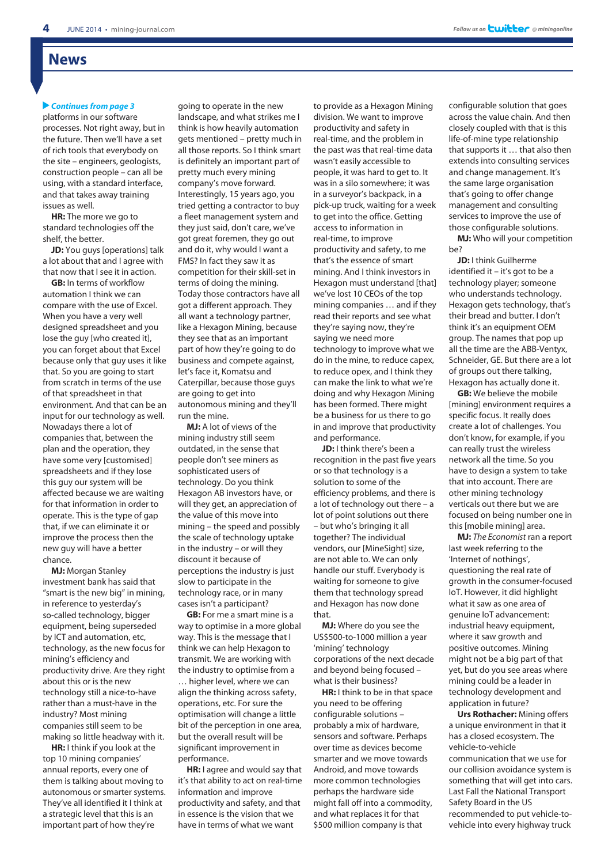### **News**

#### *Continues from page 3*

platforms in our software processes. Not right away, but in the future. Then we'll have a set of rich tools that everybody on the site – engineers, geologists, construction people – can all be using, with a standard interface, and that takes away training issues as well.

**HR:** The more we go to standard technologies off the shelf, the better.

**JD:** You guys [operations] talk a lot about that and I agree with that now that I see it in action.

**GB:** In terms of workflow automation I think we can compare with the use of Excel. When you have a very well designed spreadsheet and you lose the guy [who created it], you can forget about that Excel because only that guy uses it like that. So you are going to start from scratch in terms of the use of that spreadsheet in that environment. And that can be an input for our technology as well. Nowadays there a lot of companies that, between the plan and the operation, they have some very [customised] spreadsheets and if they lose this guy our system will be affected because we are waiting for that information in order to operate. This is the type of gap that, if we can eliminate it or improve the process then the new guy will have a better chance.

**MJ:** Morgan Stanley investment bank has said that "smart is the new big" in mining, in reference to yesterday's so-called technology, bigger equipment, being superseded by ICT and automation, etc. technology, as the new focus for mining's efficiency and productivity drive. Are they right about this or is the new technology still a nice-to-have rather than a must-have in the industry? Most mining companies still seem to be making so little headway with it.

**HR:** I think if you look at the top 10 mining companies' annual reports, every one of them is talking about moving to autonomous or smarter systems. They've all identified it I think at a strategic level that this is an important part of how they're

going to operate in the new landscape, and what strikes me I think is how heavily automation gets mentioned – pretty much in all those reports. So I think smart is definitely an important part of pretty much every mining company's move forward. Interestingly, 15 years ago, you tried getting a contractor to buy a fleet management system and they just said, don't care, we've got great foremen, they go out and do it, why would I want a FMS? In fact they saw it as competition for their skill-set in terms of doing the mining. Today those contractors have all got a different approach. They all want a technology partner, like a Hexagon Mining, because they see that as an important part of how they're going to do business and compete against, let's face it, Komatsu and Caterpillar, because those guys are going to get into autonomous mining and they'll run the mine.

**MJ:** A lot of views of the mining industry still seem outdated, in the sense that people don't see miners as sophisticated users of technology. Do you think Hexagon AB investors have, or will they get, an appreciation of the value of this move into mining – the speed and possibly the scale of technology uptake in the industry – or will they discount it because of perceptions the industry is just slow to participate in the technology race, or in many cases isn't a participant?

**GB:** For me a smart mine is a way to optimise in a more global way. This is the message that I think we can help Hexagon to transmit. We are working with the industry to optimise from a … higher level, where we can align the thinking across safety, operations, etc. For sure the optimisation will change a little bit of the perception in one area, but the overall result will be significant improvement in performance.

**HR:** I agree and would say that it's that ability to act on real-time information and improve productivity and safety, and that in essence is the vision that we have in terms of what we want

to provide as a Hexagon Mining division. We want to improve productivity and safety in real-time, and the problem in the past was that real-time data wasn't easily accessible to people, it was hard to get to. It was in a silo somewhere; it was in a surveyor's backpack, in a pick-up truck, waiting for a week to get into the office. Getting access to information in real-time, to improve productivity and safety, to me that's the essence of smart mining. And I think investors in Hexagon must understand [that] we've lost 10 CEOs of the top mining companies … and if they read their reports and see what they're saying now, they're saying we need more technology to improve what we do in the mine, to reduce capex, to reduce opex, and I think they can make the link to what we're doing and why Hexagon Mining has been formed. There might be a business for us there to go in and improve that productivity and performance.

**JD:** I think there's been a recognition in the past five years or so that technology is a solution to some of the efficiency problems, and there is a lot of technology out there – a lot of point solutions out there – but who's bringing it all together? The individual vendors, our [MineSight] size, are not able to. We can only handle our stuff. Everybody is waiting for someone to give them that technology spread and Hexagon has now done that.

**MJ:** Where do you see the US\$500-to-1000 million a year 'mining' technology corporations of the next decade and beyond being focused – what is their business?

**HR:** I think to be in that space you need to be offering configurable solutions – probably a mix of hardware, sensors and software. Perhaps over time as devices become smarter and we move towards Android, and move towards more common technologies perhaps the hardware side might fall off into a commodity, and what replaces it for that \$500 million company is that

configurable solution that goes across the value chain. And then closely coupled with that is this life-of-mine type relationship that supports it … that also then extends into consulting services and change management. It's the same large organisation that's going to offer change management and consulting services to improve the use of those configurable solutions.

**MJ:** Who will your competition be?

**JD:** I think Guilherme identified it – it's got to be a technology player; someone who understands technology. Hexagon gets technology, that's their bread and butter. I don't think it's an equipment OEM group. The names that pop up all the time are the ABB-Ventyx, Schneider, GE. But there are a lot of groups out there talking, Hexagon has actually done it.

**GB:** We believe the mobile [mining] environment requires a specific focus. It really does create a lot of challenges. You don't know, for example, if you can really trust the wireless network all the time. So you have to design a system to take that into account. There are other mining technology verticals out there but we are focused on being number one in this [mobile mining] area.

**MJ:** *The Economist* ran a report last week referring to the 'Internet of nothings', questioning the real rate of growth in the consumer-focused IoT. However, it did highlight what it saw as one area of genuine IoT advancement: industrial heavy equipment, where it saw growth and positive outcomes. Mining might not be a big part of that yet, but do you see areas where mining could be a leader in technology development and application in future?

**Urs Rothacher:** Mining offers a unique environment in that it has a closed ecosystem. The vehicle-to-vehicle communication that we use for our collision avoidance system is something that will get into cars. Last Fall the National Transport Safety Board in the US recommended to put vehicle-tovehicle into every highway truck